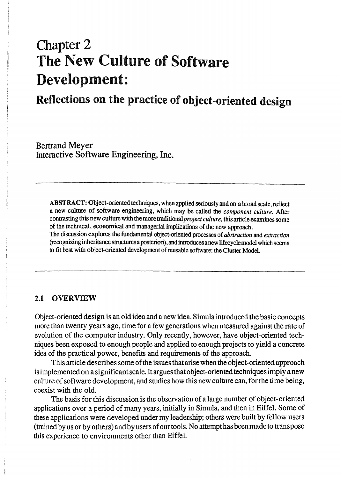# Chapter 2 The New Culture of Software Development:

# Reflections on the practice of object-oriented design

Bertrand Meyer Interactive Software Engineering, Inc.

ABSTRACT: Object-oriented techniques, when applied seriously and on a broad scale, reflect a new culture of software engineering. which may be called the *component culture.* After contrasting this new culture with the more traditional *project culture,* this article examines some of the technical. economical and managerial implications of the new approach. The discussion explores the fundamental object-oriented processes of *abstraction* and *extraction*  (recognizing inheritance structures a posteriori). and introduces a new lifecyclemodel which seems to fit best with object-oriented development of reusable software: the Cluster Model.

#### 2.1 OVERVIEW

Object-oriented design is an old idea and a new idea. Simula introduced the basic concepts more than twenty years ago, time for a few generations when measured against the rate of evolution of the computer industry. Only recently, however, have object-oriented techniques been exposed to enough people and applied to enough projects to yield a concrete idea of the practical power, benefits and requirements of the approach.

This article describes some of the issues that arise when the object-oriented approach is implemented on a significant scale. It argues that object-oriented techniques imply a new culture of software development, and studies how this new culture can, for the time being, coexist with the old.

The basis for this discussion is the observation of a large number of object-oriented applications over a period of many years, initially in Simula, and then in Eiffel. Some of these applications were developed under my leadership; others were built by fellow users (trained by us or by others) and by users of our tools. No attempt has been made to transpose this experience to environments other than Eiffel.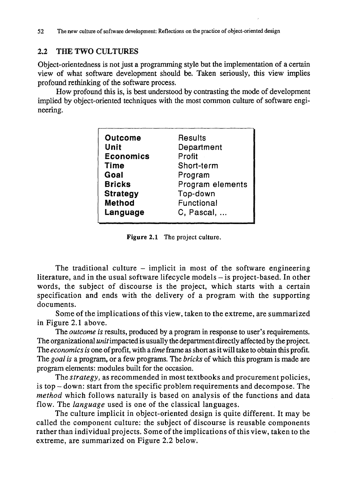## 2.2 THE TWO CULTURES

Object-orientedness is not just a programming style but the implementation of a certain view of what software development should be. Taken seriously, this view implies profound rethinking of the software process.

How profound this is, is best understood by contrasting the mode of development implied by object-oriented techniques with the most common culture of software engineering.

| <b>Outcome</b>   | Results          |
|------------------|------------------|
| Unit             | Department       |
| <b>Economics</b> | Profit           |
| <b>Time</b>      | Short-term       |
| Goal             | Program          |
| <b>Bricks</b>    | Program elements |
| <b>Strategy</b>  | Top-down         |
| <b>Method</b>    | Functional       |
| Language         | C, Pascal,       |
|                  |                  |

Figure 2.1 The project culture.

The traditional culture  $-$  implicit in most of the software engineering literature, and in the usual software lifecycle models - is project-based. In other words, the subject of discourse is the project, which starts with a certain specification and ends with the delivery of a program with the supporting documents.

Some of the implications of this view, taken to the extreme, are summarized in Figure 2.1 above.

The *outcome* is results, produced by a program in response to user's requirements. The organizational *unit* impacted is usually the department directly affected by the project. The *economics is* one of profit, with a *time* frame as short as it will take to obtain this profit. The *goal is* a program, or a few programs. The *bricks* of which this program is made are program elements: modules built for the occasion.

The *strategy,* as recommended in most textbooks and procurement policies, is top - down: start from the specific problem requirements and decompose. The *method* which follows naturally is based on analysis of the functions and data flow. The *language* used is one of the classical languages.

The culture implicit in object-oriented design is quite different. It may be called the component culture: the subject of discourse is reusable components rather than individual projects. Some of the implications of this view, taken to the extreme, are summarized on Figure 2.2 below.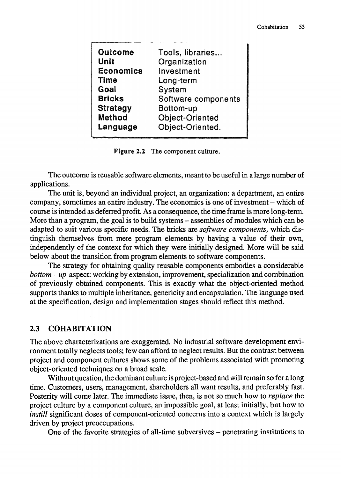| <b>Outcome</b>   | Tools, libraries       |
|------------------|------------------------|
| Unit             | Organization           |
| <b>Economics</b> | Investment             |
| <b>Time</b>      | Long-term              |
| Goal             | System                 |
| <b>Bricks</b>    | Software components    |
| <b>Strategy</b>  | Bottom-up              |
| <b>Method</b>    | <b>Object-Oriented</b> |
| Language         | Object-Oriented.       |
|                  |                        |

Figure 2.2 The component culture.

The outcome is reusable software elements, meant to be useful in a large number of applications.

The unit is, beyond an individual project, an organization: a department, an entire company, sometimes an entire industry. The economics is one of investment- which of course is intended as deferred profit. As a consequence, the time frame is more long-term. More than a program, the goal is to build systems – assemblies of modules which can be adapted to suit various specific needs. The bricks are *software components,* which distinguish themselves from mere program elements by having a value of their own, independently of the context for which they were initially designed. More will be said below about the transition from program elements to software components.

The strategy for obtaining quality reusable components embodies a considerable *bottom* - *up* aspect: working by extension, improvement, specialization and combination of previously obtained components. This is exactly what the object-oriented method supports thanks to multiple inheritance, genericity and encapsulation. The language used at the specification, design and implementation stages should reflect this method.

#### 2.3 COHABITATION

The above characterizations are exaggerated. No industrial software development environment totally neglects tools; few can afford to neglect results. But the contrast between project and component cultures shows some of the problems associated with promoting object-oriented techniques on a broad scale.

Without question, the dominant culture is project-based and will remain so for a long time. Customers, users, management, shareholders all want results, and preferably fast. Posterity will come later. The immediate issue, then, is not so much how to *rep/ace* the project culture by a component culture, an impossible goal, at least initially, but how to *instill* significant doses of component-oriented concerns into a context which is largely driven by project preoccupations.

One of the favorite strategies of all-time subversives - penetrating institutions to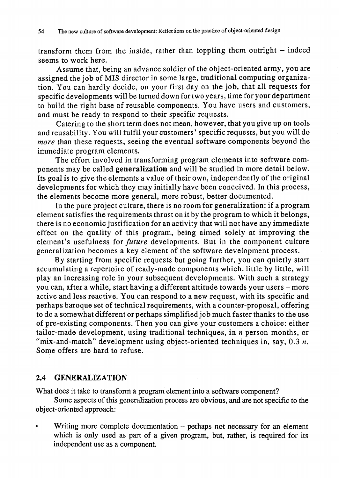transform them from the inside, rather than toppling them outright  $-$  indeed seems to work here.

Assume that, being an advance soldier of the object-oriented army, you are assigned the job of MIS director in some large, traditional computing organization. You can hardly decide, on your first day on the job, that all requests for specific developments will be turned down for two years, time for your department to build the right base of reusable components. You have users and customers, and must be ready to respond to their specific requests.

Catering to the short term does not mean, however, that you give up on tools and reusability. You will fulfil your customers' specific requests, but you will do *more* than these requests, seeing the eventual software components beyond the immediate program elements.

The effort involved in transforming program elements into software components may be called generalization and will be studied in more detail below. Its goal is to give the elements a value of their own, independently of the original developments for which they may initially have been conceived. In this process, the elements become more general, more robust, better documented.

In the pure project culture, there is no room for generalization: if a program element satisfies the requirements thrust on it by the program to which it belongs, there is no economic justification for an activity that will not have any immediate effect on the quality of this program, being aimed solely at improving the element's usefulness for *future* developments. But in the component culture generalization becomes a key element of the software development process.

By starting from specific requests but going further, you can quietly start accumulating a repertoire of ready-made components which, little by little, will play an increasing role in your subsequent developments. With such a strategy you can, after a while, start having a different attitude towards your users - more active and less reactive. You can respond to a new request, with its specific and perhaps baroque set of technical requirements, with a counter-proposal, offering to do a somewhat different or perhaps simplified job much faster thanks to the use of pre-existing components. Then you can give your customers a choice: either tailor-made development, using traditional techniques, in *n* person-months, or "mix-and-match" development using object-oriented techniques in, say, 0.3 *n*. Some offers are hard to refuse. i

#### 2.4 GENERALIZATION

What does it take to transform a program element into a software component?

Some aspects of this generalization process are obvious, and are not specific to the object-oriented approach:

Writing more complete documentation - perhaps not necessary for an element which is only used as part of a given program, but, rather, is required for its independent use as a component.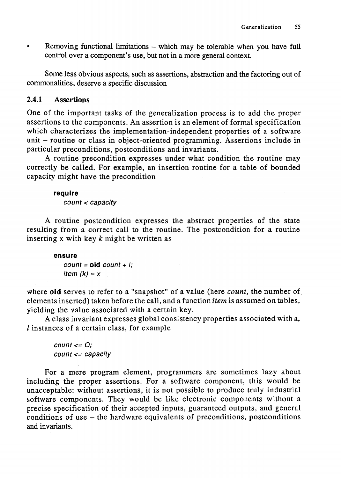• Removing functional limitations – which may be tolerable when you have full control over a component's use, but not in a more general context.

Some less obvious aspects, such as assertions, abstraction and the factoring out of commonalities, deserve a specific discussion

### 2.4.1 Assertions

One of the important tasks of the generalization process is to add the proper assertions to the components. An assertion is an element of formal specification which characterizes the implementation-independent properties of a software unit - routine or class in object-oriented programming. Assertions include in particular preconditions, postconditions and invariants.

A routine precondition expresses under what condition the routine may correctly be called. For example, an insertion routine for a table of bounded capacity might have the precondition

#### **require**

count < capacity

A routine postcondition expresses the abstract properties of the state resulting from a correct call to the routine. The postcondition for a routine inserting x with key *k* might be written as

#### **ensure**

 $count = old count + l;$ item  $(k) = x$ 

where old serves to refer to a "snapshot" of a value (here *count,* the number of elements inserted) taken before the call, and a function *item* is assumed on tables, yielding the value associated with a certain key.

A class invariant expresses global consistency properties associated with a,  $l$  instances of a certain class, for example

 $count \leq O$ : count <= capacity

For a mere program element, programmers are sometimes lazy about including the proper assertions. For a software component, this would be unacceptable: without assertions, it is not possible to produce truly industrial software components. They would be like electronic components without a precise specification of their accepted inputs, guaranteed outputs, and general conditions of use - the hardware equivalents of preconditions, postconditions and invariants.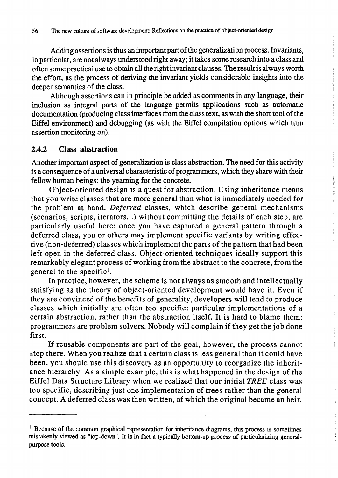Adding assertions is thus an important part of the generalization process. Invariants, in particular, are not always understood right away; it takes some research into a class and often some practical use to obtain all the right invariant clauses. The result is always worth the effort, as the process of deriving the invariant yields considerable insights into the deeper semantics of the class.

Although assertions can in principle be added as comments in any language, their inclusion as integral parts of the language permits applications such as automatic documentation (producing class interfaces from the class text, as with the short tool of the Eiffel environment) and debugging (as with the Eiffel compilation options which turn assertion monitoring on).

#### 2.4.2 Class abstraction

Another important aspect of generalization is class abstraction. The need for this activity is a consequence of a universal characteristic of programmers, which they share with their fellow human beings: the yearning for the concrete.

Object-oriented design is a quest for abstraction. Using inheritance means that you write classes that are more general than what is immediately needed for the problem at hand. *Deferred* classes, which describe general mechanisms (scenarios, scripts, iterators...) without committing the details of each step, are particularly useful here: once you have captured a general pattern through a deferred class, you or others may implement specific variants by writing effective (non-deferred) classes which implement the parts of the pattern that had been left open in the deferred class. Object-oriented techniques ideally support this remarkably elegant process of working from the abstract to the concrete, from the general to the specific!.

In practice, however, the scheme is not always as smooth and intellectually satisfying as the theory of object-oriented development would have it. Even if they are convinced of the benefits of generality, developers will tend to produce classes which initially are often too specific: particular implementations of a certain abstraction, rather than the abstraction itself. It is hard to blame them: programmers are problem solvers. Nobody will complain if they get the job done first.

If reusable components are part of the goal, however, the process cannot stop there. When you realize that a certain class is less general than it could have been, you should use this discovery as an opportunity to reorganize the inheritance hierarchy. As a simple example, this is what happened in the design of the Eiffel Data Structure Library when we realized that our initial *TREE* class was too specific, describing just one implementation of trees rather than the general concept. A deferred class was then written, of which the original became an heir.

 $1$  Because of the common graphical representation for inheritance diagrams, this process is sometimes mistakenly viewed as "top-down". It is in fact a typically bottom-up process of particularizing generalpurpose tools.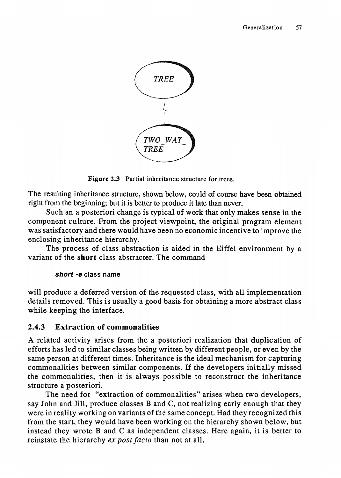

Figure 2.3 Partial inheritance structure for trees.

The resulting inheritance structure, shown below, could of course have been obtained right from the beginning; but it is better to produce it late than never.

Such an a posteriori change is typical of work that only makes sense in the component culture. From the project viewpoint, the original program element was satisfactory and there would have been no economic incentive to improve the enclosing inheritance hierarchy.

The process of class abstraction is aided in the Biffel environment by a variant of the short class abstracter. The command

#### short -e class name

will produce a deferred version of the requested class, with all implementation details removed. This is usually a good basis for obtaining a more abstract class while keeping the interface.

# 2.4.3 Extraction of commonalities

A related activity arises from the a posteriori realization that duplication of efforts has led to similar classes being written by different people, or even by the same person at different times. Inheritance is the ideal mechanism for capturing commonalities between similar components. If the developers initially missed the commonalities, then it is always possible to reconstruct the inheritance structure a posteriori.

The need for "extraction of commonalities" arises when two developers, say John and Jill, produce classes B and C, not realizing early enough that they were in reality working on variants of the same concept. Had they recognized this from the start, they would have been working on the hierarchy shown below, but instead they wrote Band C as independent classes. Here again, it is better to reinstate the hierarchy *ex post facto* than not at all.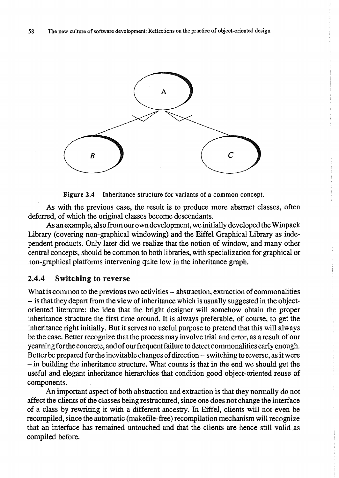

Figure 2.4 Inheritance structure for variants of a common concept.

As with the previous case, the result is to produce more abstract classes, often deferred, of which the original classes become descendants.

As an example, also from our own development, we initially developed the Winpack Library (covering non-graphical windowing) and the Eiffel Graphical Library as independent products. Only later did we realize that the notion of window, and many other central concepts, should be common to both libraries, with specialization for graphical or non-graphical platforms intervening quite low in the inheritance graph.

#### 2.4.4 Switching to reverse

What is common to the previous two activities – abstraction, extraction of commonalities - is that they depart from the view of inheritance which is usually suggested in the objectoriented literature: the idea that the bright designer will somehow obtain the proper inheritance structure the first time around. It is always preferable, of course, to get the inheritance right initially. But it serves no useful purpose to pretend that this will always be the case. Better recognize that the process may involve trial and error, as a result of our yearning for the concrete, and of our frequent failure to detect commonalities early enough. Better be prepared for the inevitable changes of direction - switching to reverse, as it were - in building the inheritance structure. What counts is that in the end we should get the useful and elegant inheritance hierarchies that condition good object-oriented reuse of components.

An important aspect of both abstraction and extraction is that they normally do not affect the clients of the classes being restructured, since one does not change the interface of a class by rewriting it with a different ancestry. In Eiffel, clients will not even be recompiled, since the automatic (makefile-free) recompilation mechanism will recognize that an interface has remained untouched and that the clients are hence still valid as compiled before.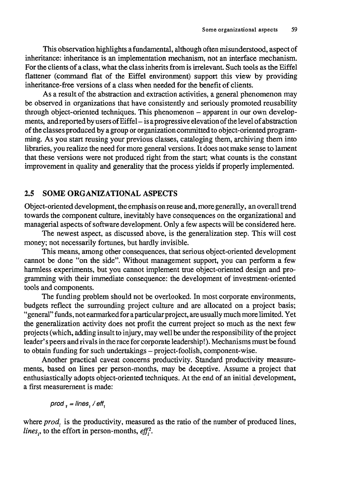This observation highlights a fundamental, although often misunderstood, aspect of inheritance: inheritance is an implementation mechanism, not an interface mechanism. For the clients of a class, what the class inherits from is irrelevant. Such tools as the Eiffel flattener (command flat of the Eiffel environment) support this view by providing inheritance-free versions of a class when needed for the benefit of clients.

As a result of the abstraction and extraction activities, a general phenomenon may be observed in organizations that have consistently and seriously promoted reusability through object-oriented techniques. This phenomenon - apparent in our own developments, and reported by users of Eiffel- is a progressive elevation of the level of abstraction of the classes produced by a group or organization committed to object-oriented programming. As you start reusing your previous classes, cataloging them, archiving them into libraries, you realize the need for more general versions. It does not make sense to lament that these versions were not produced right from the start; what counts is the constant improvement in quality and generality that the process yields if properly implemented.

#### 2.5 SOME ORGANIZATIONAL ASPECTS

Object-oriented development, the emphasis on reuse and, more generally, an overall trend towards the component culture, inevitably have consequences on the organizational and managerial aspects of software development. Only a few aspects will be considered here.

The newest aspect, as discussed above, is the generalization step. This will cost money; not necessarily fortunes, but hardly invisible.

This means, among other consequences, that serious object-oriented development cannot be done "on the side". Without management support, you can perform a few harmless experiments, but you cannot implement true object-oriented design and programming with their immediate consequence: the development of investment-oriented tools and components.

The funding problem should not be overlooked. In most corporate environments, budgets reflect the surrounding project culture and are allocated on a project basis; " general" funds, not earmarked for a particular project, are usually much more limited. Yet the generalization activity does not profit the current project so much as the next few projects (which, adding insult to injury, may well be under the responsibility of the project leader's peers and rivals in the race for corporate leadership!). Mechanisms must be found to obtain funding for such undertakings - project-foolish, component-wise.

Another practical caveat concerns productivity. Standard productivity measurements, based on lines per person-months, may be deceptive. Assume a project that enthusiastically adopts object-oriented techniques. At the end of an initial development, a first measurement is made:

 $prod_{1} = lines_{1} / eff_{1}$ 

where  $prod_i$  is the productivity, measured as the ratio of the number of produced lines, *lines*<sup>1</sup>, to the effort in person-months,  $eff<sub>1</sub><sup>2</sup>$ .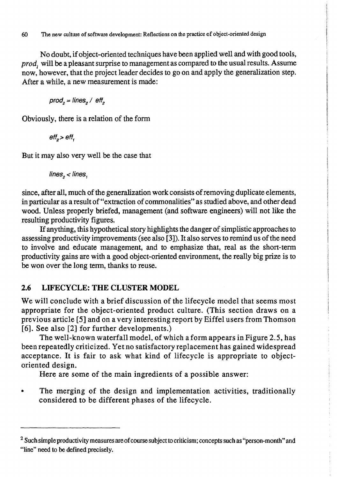No doubt, if object-oriented techniques have been applied well and with good tools, prod, will be a pleasant surprise to management as compared to the usual results. Assume now, however, that the project leader decides to go on and apply the generalization step. After a while, a new measurement is made:

 $prod_{2} = lines_{2} / eff_{2}$ 

Obviously, there is a relation of the form

 $\textit{eff}_{\circ}$  >  $\textit{eff}_{\circ}$ 

But it may also very well be the case that

lines,  $\lt$  lines,

since, after all, much of the generalization work consists of removing duplicate elements, in particular as a result of "extraction of commonalities" as studied above, and other dead wood. Unless properly briefed, management (and software engineers) will not like the resulting productivity figures.

If anything, this hypothetical story highlights the danger of simplistic approaches to assessing productivity improvements (see also [3]). It also serves to remind us of the need to involve and educate management, and to emphasize that, real as the short-term productivity gains are with a good object-oriented environment, the really big prize is to be won over the long term, thanks to reuse.

# 2.6 LIFECYCLE: THE CLUSTER MODEL

We will conclude with a brief discussion of the lifecycle model that seems most appropriate for the object-oriented product culture. (This section draws on a previous article [5] and on a very interesting report by Eiffel users from Thomson [6]. See also [2] for further developments.)

The well-known waterfall model, of which a form appears in Figure 2.5, has been repeatedly criticized. Yet no satisfactory replacement has gained widespread acceptance. It is fair to ask what kind of lifecycle is appropriate to objectoriented design.

Here are some of the main ingredients of a possible answer:

The merging of the design and implementation activities, traditionally considered to be different phases of the lifecycle.

<sup>&</sup>lt;sup>2</sup> Such simple productivity measures are of course subject to criticism; concepts such as "person-month" and "line" need to be defined precisely.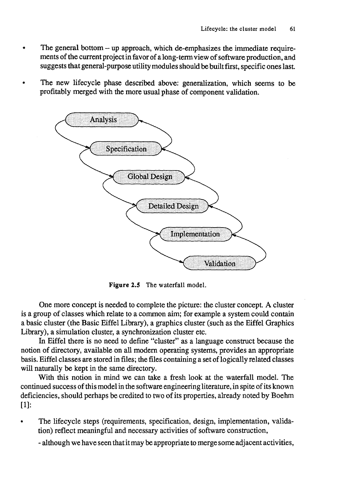- The general bottom up approach, which de-emphasizes the immediate requirements of the current project in favor of along -tenn view of software production, and suggests that general-purpose utility modules should be built first, specific ones last.
- The new lifecycle phase described above: generalization, which seems to be profitably merged with the more usual phase of component validation.



Figure *2.5* The waterfall model.

One more concept is needed to complete the picture: the cluster concept. A cluster is a group of classes which relate to a common aim; for example a system could contain a basic cluster (the Basic Eiffel Library), a graphics cluster (such as the Eiffel Graphics Library), a simulation cluster, a synchronization cluster etc.

In Eiffel there is no need to define "cluster" as a language construct because the notion of directory, available on all modern operating systems, provides an appropriate basis. Eiffel classes are stored in files; the files containing a set of 10 gically related classes will naturally be kept in the same directory.

With this notion in mind we can take a fresh look at the waterfall model. The continued success of this model in the software engineering literature, in spite of its known deficiencies, should perhaps be credited to two of its properties, already noted by Boehm [1]:

The lifecycle steps (requirements, specification, design, implementation, validation) reflect meaningful and necessary activities of software construction,

- although we have seen that it may be appropriate to merge some adjacent activities,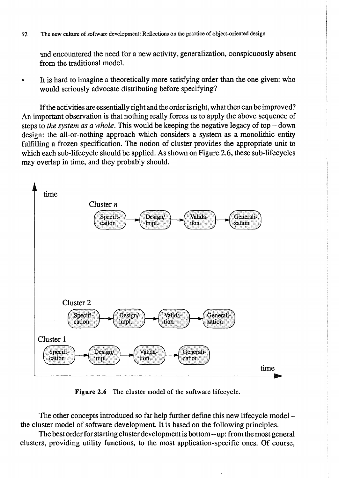62 The new culture of software development: Reflections on the practice of object-oriented design

and encountered the need for a new activity, generalization, conspicuously absent from the traditional model.

It is hard to imagine a theoretically more satisfying order than the one given: who would seriously advocate distributing before specifying?

If the activities are essentially right and the order is right, what then can be improved? An important observation is that nothing really forces us to apply the above sequence of steps to *the system as a whole*. This would be keeping the negative legacy of top – down design: the all-or-nothing approach which considers a system as a monolithic entity fulfilling a frozen specification. The notion of cluster provides the appropriate unit to which each sub-lifecycle should be applied. As shown on Figure 2.6, these sub-lifecycles may overlap in time, and they probably should.



Figure 2.6 The cluster model of the software lifecycle.

The other concepts introduced so far help further define this new lifecycle modelthe cluster model of software development. It is based on the following principles.

The best order for starting cluster development is bottom - up: from the most general clusters, providing utility functions, to the most application-specific ones. Of course,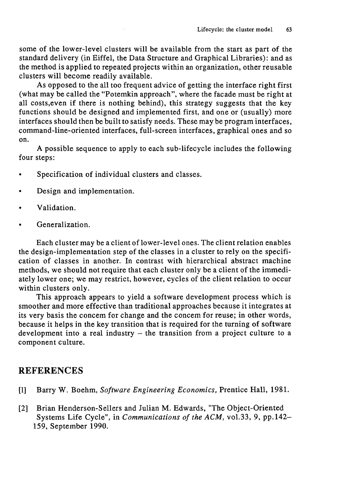some of the lower-level clusters will be available from the start as part of the standard delivery (in Eiffel, the Data Structure and Graphical Libraries): and as the method is applied to repeated projects within an organization, other reusable clusters will become readily available.

As opposed to the all too frequent advice of getting the interface right first (what may be called the "Potemkin approach", where the facade must be right at all costs, even if there is nothing behind), this strategy suggests that the key functions should be designed and implemented first, and one or (usually) more interfaces should then be built to satisfy needs. These may be program interfaces, command-line-oriented interfaces, full-screen interfaces, graphical ones and so on.

A possible sequence to apply to each sub-lifecycle includes the following four steps:

- Specification of individual clusters and classes.
- Design and implementation.
- Validation.
- Generalization.

Each cluster may be a client of lower-level ones. The client relation enables the design-implementation step of the classes in a cluster to rely on the specification of classes in another. In contrast with hierarchical abstract machine methods, we should not require that each cluster only be a client of the immediately lower one; we may restrict, however, cycles of the client relation to occur within clusters only.

This approach appears to yield a software development process which is smoother and more effective than traditional approaches because it integrates at its very basis the concem for change and the concem for reuse; in other words, because it helps in the key transition that is required for the turning of software development into a real industry – the transition from a project culture to a component culture.

# REFERENCES

- [1] Barry W. Boehm, *Software Engineering Economics,* Prentice Hall, 1981.
- [2] Brian Henderson-Sellers and Julian M. Edwards, "The Object-Oriented Systems Life Cycle", in *Communications of the ACM,* vo1.33, 9, pp.142- 159, September 1990.